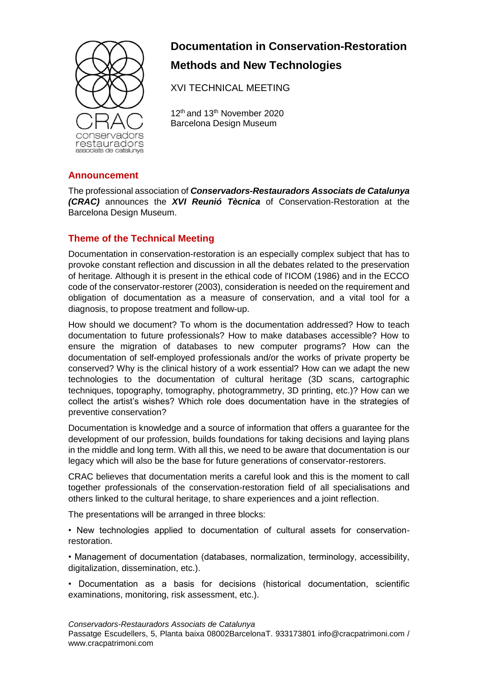

# **Documentation in Conservation-Restoration Methods and New Technologies**

XVI TECHNICAL MEETING

12<sup>th</sup> and 13<sup>th</sup> November 2020 Barcelona Design Museum

## **Announcement**

The professional association of *Conservadors-Restauradors Associats de Catalunya (CRAC)* announces the *XVI Reunió Tècnica* of Conservation-Restoration at the Barcelona Design Museum.

### **Theme of the Technical Meeting**

Documentation in conservation-restoration is an especially complex subject that has to provoke constant reflection and discussion in all the debates related to the preservation of heritage. Although it is present in the ethical code of l'ICOM (1986) and in the ECCO code of the conservator-restorer (2003), consideration is needed on the requirement and obligation of documentation as a measure of conservation, and a vital tool for a diagnosis, to propose treatment and follow-up.

How should we document? To whom is the documentation addressed? How to teach documentation to future professionals? How to make databases accessible? How to ensure the migration of databases to new computer programs? How can the documentation of self-employed professionals and/or the works of private property be conserved? Why is the clinical history of a work essential? How can we adapt the new technologies to the documentation of cultural heritage (3D scans, cartographic techniques, topography, tomography, photogrammetry, 3D printing, etc.)? How can we collect the artist's wishes? Which role does documentation have in the strategies of preventive conservation?

Documentation is knowledge and a source of information that offers a guarantee for the development of our profession, builds foundations for taking decisions and laying plans in the middle and long term. With all this, we need to be aware that documentation is our legacy which will also be the base for future generations of conservator-restorers.

CRAC believes that documentation merits a careful look and this is the moment to call together professionals of the conservation-restoration field of all specialisations and others linked to the cultural heritage, to share experiences and a joint reflection.

The presentations will be arranged in three blocks:

• New technologies applied to documentation of cultural assets for conservationrestoration.

• Management of documentation (databases, normalization, terminology, accessibility, digitalization, dissemination, etc.).

• Documentation as a basis for decisions (historical documentation, scientific examinations, monitoring, risk assessment, etc.).

*Conservadors-Restauradors Associats de Catalunya* Passatge Escudellers, 5, Planta baixa 08002BarcelonaT. 933173801 info@cracpatrimoni.com / www.cracpatrimoni.com